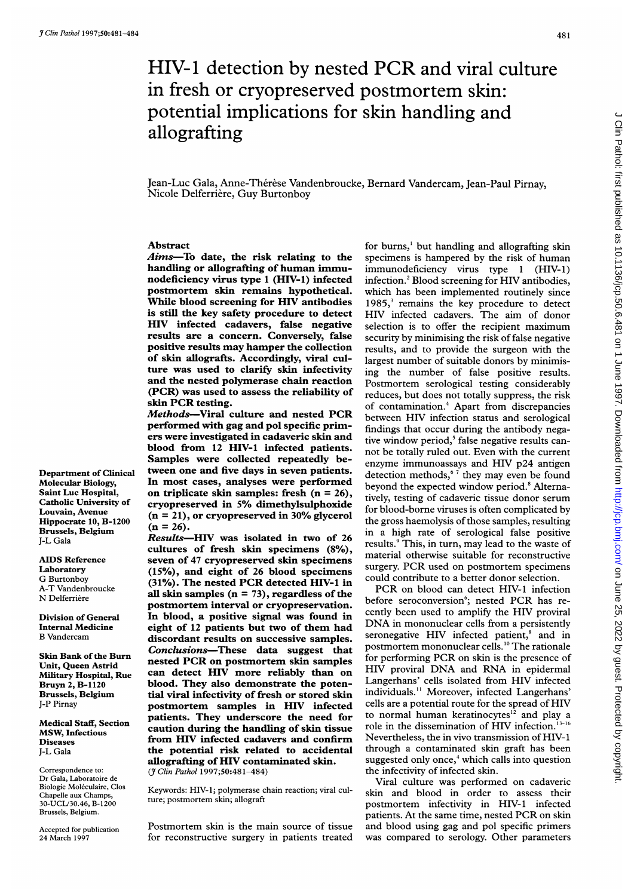# HIV-1 detection by nested PCR and viral culture in fresh or cryopreserved postmortem skin: potential implications for skin handling and allografting

Jean-Luc Gala, Anne-Thérèse Vandenbroucke, Bernard Vandercam, Jean-Paul Pirnay, Nicole Delferrière, Guy Burtonboy

# Abstract

Aims-To date, the risk relating to the handling or allografting of human immunodeficiency virus type <sup>1</sup> (HIV-1) infected postmortem skin remains hypothetical. While blood screening for HIV antibodies is still the key safety procedure to detect HIV infected cadavers, false negative results are a concern. Conversely, false positive results may hamper the collection of skin allografts. Accordingly, viral culture was used to clarify skin infectivity and the nested polymerase chain reaction (PCR) was used to assess the reliability of skin PCR testing.

Methods-Viral culture and nested PCR performed with gag and pol specific primers were investigated in cadaveric skin and blood from 12 HIV-1 infected patients. Samples were collected repeatedly between one and five days in seven patients. In most cases, analyses were performed on triplicate skin samples: fresh  $(n = 26)$ , cryopreserved in 5% dimethylsulphoxide  $(n = 21)$ , or cryopreserved in 30% glycerol  $(n = 26)$ .

Results-HIV was isolated in two of 26 cultures of fresh skin specimens (8%), seven of 47 cryopreserved skin specimens (15%), and eight of 26 blood specimens (31%). The nested PCR detected HIV-1 in all skin samples  $(n = 73)$ , regardless of the postmortem interval or cryopreservation. In blood, a positive signal was found in eight of 12 patients but two of them had discordant results on successive samples. Conclusions-These data suggest that nested PCR on postmortem skin samples can detect HIV more reliably than on blood. They also demonstrate the potential viral infectivity of fresh or stored skin postmortem samples in HIV infected patients. They underscore the need for caution during the handling of skin tissue from HIV infected cadavers and confirm the potential risk related to accidental allografting of HIV contaminated skin. (7 Clin Pathol 1997;50:481-484)

Keywords: HIV-1; polymerase chain reaction; viral culture; postmortem skin; allograft

Postmortem skin is the main source of tissue for reconstructive surgery in patients treated

for burns,' but handling and allografting skin specimens is hampered by the risk of human immunodeficiency virus type <sup>1</sup> (HIV-1) infection.2 Blood screening for HIV antibodies, which has been implemented routinely since 1985,<sup>3</sup> remains the key procedure to detect HIV infected cadavers. The aim of donor selection is to offer the recipient maximum security by minimising the risk of false negative results, and to provide the surgeon with the largest number of suitable donors by minimising the number of false positive results. Postmortem serological testing considerably reduces, but does not totally suppress, the risk of contamination.<sup>4</sup> Apart from discrepancies between HIV infection status and serological findings that occur during the antibody negative window period,<sup>5</sup> false negative results cannot be totally ruled out. Even with the current enzyme immunoassays and HIV p24 antigen detection methods, $67$  they may even be found beyond the expected window period.<sup>8</sup> Alternatively, testing of cadaveric tissue donor serum for blood-borne viruses is often complicated by the gross haemolysis of those samples, resulting in a high rate of serological false positive results.<sup>9</sup> This, in turn, may lead to the waste of material otherwise suitable for reconstructive surgery. PCR used on postmortem specimens could contribute to a better donor selection.

PCR on blood can detect HIV-1 infection before seroconversion<sup>6</sup>; nested PCR has recently been used to amplify the HIV proviral DNA in mononuclear cells from <sup>a</sup> persistently seronegative HIV infected patient,<sup>8</sup> and in postmortem mononuclear cells.'0 The rationale for performing PCR on skin is the presence of HIV proviral DNA and RNA in epidermal Langerhans' cells isolated from HIV infected individuals." Moreover, infected Langerhans' cells are <sup>a</sup> potential route for the spread of HIV to normal human keratinocytes<sup>12</sup> and play a role in the dissemination of HIV infection.'3-16 Nevertheless, the in vivo transmission of HIV- <sup>1</sup> through a contaminated skin graft has been suggested only once,<sup>4</sup> which calls into question the infectivity of infected skin.

Viral culture was performed on cadaveric skin and blood in order to assess their postmortem infectivity in HIV-1 infected patients. At the same time, nested PCR on skin and blood using gag and pol specific primers was compared to serology. Other parameters

Department of Clinical Molecular Biology, Saint Luc Hospital, Catholic University of Louvain, Avenue Hippocrate 10, B-1200 Brussels, Belgium J-L Gala

AIDS Reference Laboratory G Burtonboy A-T Vandenbroucke N Delferrière

Division of General Internal Medicine B Vandercam

Skin Bank of the Burn Unit, Queen Astrid Military Hospital, Rue Bruyn 2, B-1120 Brussels, Belgium J-P Pirnay

Medical Staff, Section MSW, Infectious Diseases J-L Gala

Correspondence to: Dr Gala, Laboratoire de Biologie Moleculaire, Clos Chapelle aux Champs, 30-UCL/30.46, B-1200 Brussels, Belgium.

Accepted for publication 24 March 1997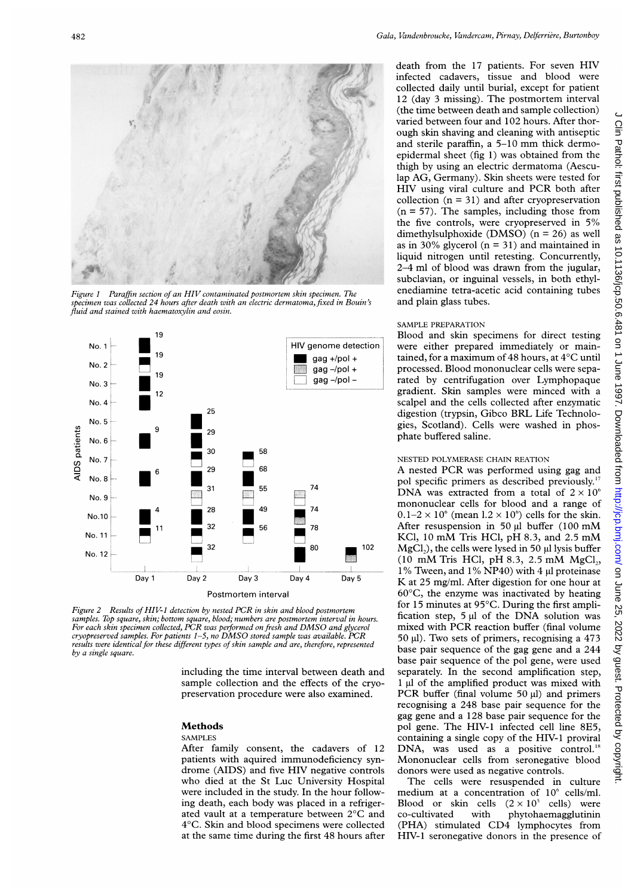

Figure 1 Paraffin section of an HIV contaminated postmortem skin specimen. The  $s$ pecimen was collected 24 hours after death with an electric dermatoma. fixed in Bouin's fluid and stained with haematoxylin and eosin.



Figure 2 Results of HIV-1 detection by nested PCR in skin and blood postmortem samples. Top square, skin; bottom square, blood; numbers are postmortem interval in hours. For each skin specimen collected, PCR was performed on fresh and DMSO and glycerol cryopreserved samples. For patients  $1-5$ , no DMSO stored sample was available. PCR results were identical for these different types of skin sample and are, therefore, represented by a single square.

including the time interval between death and sample collection and the effects of the cryopreservation procedure were also examined.

#### Methods

#### SAMPLES

After family consent, the cadavers of 12 patients with aquired immunodeficiency syndrome (AIDS) and five HIV negative controls who died at the St Luc University Hospital were included in the study. In the hour following death, each body was placed in ated vault at a temperature between 2°C and 4°C. Skin and blood specimens wer at the same time during the first 48 hours after

death from the <sup>17</sup> patients. For seven HIV infected cadavers, tissue and blood were collected daily until burial, except for patient 12 (day 3 missing). The postmortem interval (the time between death and sample collection) varied between four and 102 hours. After thorough skin shaving and cleaning with antiseptic and sterile paraffin, <sup>a</sup> 5-10 mm thick dermoepidermal sheet (fig 1) was obtained from the thigh by using an electric dermatoma (Aesculap AG, Germany). Skin sheets were tested for HIV using viral culture and PCR both after collection  $(n = 31)$  and after cryopreservation  $(n = 57)$ . The samples, including those from the five controls, were cryopreserved in 5% dimethylsulphoxide (DMSO) ( $n = 26$ ) as well as in 30% glycerol ( $n = 31$ ) and maintained in liquid nitrogen until retesting. Concurrently, 2-4 ml of blood was drawn from the jugular, subclavian, or inguinal vessels, in both ethylenediamine tetra-acetic acid containing tubes and plain glass tubes.

#### SAMPLE PREPARATION

Blood and skin specimens for direct testing were either prepared immediately or maintained, for a maximum of 48 hours, at  $4^{\circ}$ C until processed. Blood mononuclear cells were separated by centrifugation over Lymphopaque gradient. Skin samples were minced with a scalpel and the cells collected after enzymatic digestion (trypsin, Gibco BRL Life Technologies, Scotland). Cells were washed in phosphate buffered saline.

#### NESTED POLYMERASE CHAIN REATION

A nested PCR was performed using gag and pol specific primers as described previously." DNA was extracted from a total of  $2 \times 10^6$ mononuclear cells for blood and a range of  $0.1-2 \times 10^6$  (mean  $1.2 \times 10^6$ ) cells for the skin. After resuspension in 50 µl buffer (100 mM KCl, <sup>10</sup> mM Tris HCl, pH 8.3, and 2.5 mM 102 MgCl<sub>2</sub>), the cells were lysed in 50  $\mu$ l lysis buffer (10 mM Tris HCl, pH 8.3, 2.5 mM  $MgCl<sub>2</sub>$ , 1% Tween, and 1% NP40) with 4 µl proteinase Day 5 K at 25 mg/ml. After digestion for one hour at 60°C, the enzyme was inactivated by heating for 15 minutes at  $95^{\circ}$ C. During the first amplification step,  $5 \mu l$  of the DNA solution was mixed with PCR reaction buffer (final volume  $150 \mu$ . Two sets of primers, recognising a 473 base pair sequence of the gag gene and a 244 base pair sequence of the pol gene, were used separately. In the second amplification step,  $1 \mu$ l of the amplified product was mixed with PCR buffer (final volume  $50 \text{ µl}$ ) and primers recognising a 248 base pair sequence for the gag gene and a 128 base pair sequence for the pol gene. The HIV-1 infected cell line 8E5, containing a single copy of the HIV-1 proviral DNA, was used as a positive control.<sup>18</sup> Mononuclear cells from seronegative blood donors were used as negative controls.

> The cells were resuspended in culture medium at a concentration of  $10^6$  cells/ml. Blood or skin cells  $(2 \times 10^5 \text{ cells})$  were co-cultivated with phytohaemagglutinin (PHA) stimulated CD4 lymphocytes from HIV-1 seronegative donors in the presence of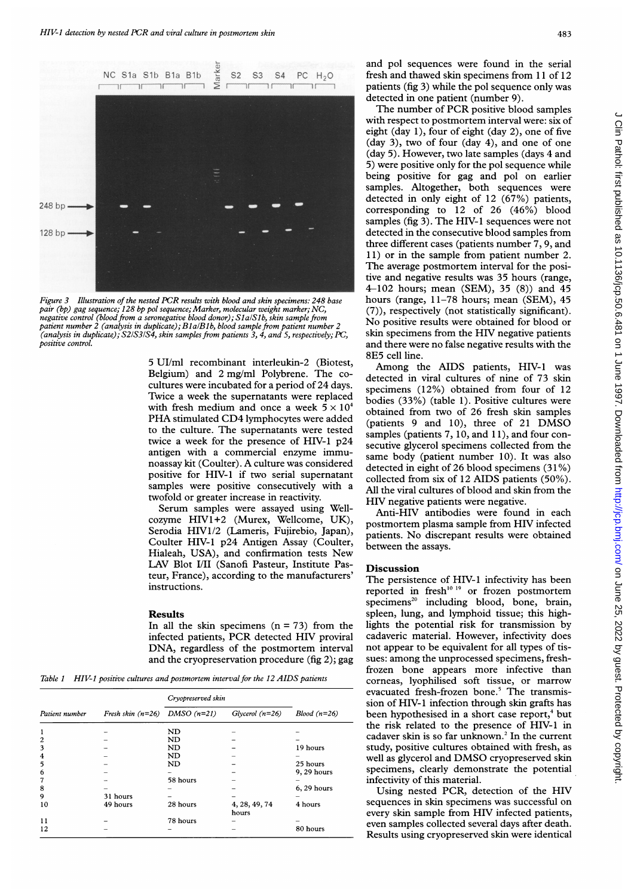

Figure 3 Illustration of the nested PCR results with blood and skin specimens: 248 base pair (bp) gag sequence; 128 bp pol sequence; Marker, molecular weight marker; NC, negative control (blood from a seronegative blood donor); SlalSlb, skin sample from patient number 2 (analysis in duplicate); BlalBlb, blood sample from patient number 2 (analysis in duplicate); S21S31S4, skin samples from patients 3, 4, and 5, respectively; PC, positive control.

5 UI/ml recombinant interleukin-2 (Biotest, Belgium) and 2 mg/ml Polybrene. The cocultures were incubated for a period of 24 days. Twice a week the supernatants were replaced with fresh medium and once a week  $5 \times 10^4$ PHA stimulated CD4 lymphocytes were added to the culture. The supernatants were tested twice a week for the presence of HIV-1 p24 antigen with a commercial enzyme immunoassay kit (Coulter). A culture was considered positive for HIV-1 if two serial supernatant samples were positive consecutively with a twofold or greater increase in reactivity.

Serum samples were assayed using Wellcozyme HIV1+2 (Murex, Wellcome, UK), Serodia HIV1/2 (Lameris, Fujirebio, Japan), Coulter HIV-1 p24 Antigen Assay (Coulter, Hialeah, USA), and confirmation tests New LAV Blot I/II (Sanofi Pasteur, Institute Pasteur, France), according to the manufacturers' instructions.

## Results

In all the skin specimens  $(n = 73)$  from the infected patients, PCR detected HIV proviral DNA, regardless of the postmortem interval and the cryopreservation procedure (fig 2); gag

Table 1 HIV-1 positive cultures and postmortem interval for the 12 AIDS patients

| Patient number | Fresh skin $(n=26)$ DMSO $(n=21)$ | Cryopreserved skin |                        |               |
|----------------|-----------------------------------|--------------------|------------------------|---------------|
|                |                                   |                    | $Glycerol(n=26)$       | $Blood(n=26)$ |
|                |                                   | ND                 |                        |               |
| $\overline{c}$ |                                   | ND                 |                        |               |
| 3              |                                   | ND                 |                        | 19 hours      |
| 4              |                                   | ND                 |                        |               |
| 5              |                                   | ND                 |                        | 25 hours      |
| 6              |                                   |                    |                        | 9, 29 hours   |
| 7              |                                   | 58 hours           |                        |               |
| 8              |                                   |                    |                        | $6, 29$ hours |
| 9              | 31 hours                          |                    |                        |               |
| 10             | 49 hours                          | 28 hours           | 4, 28, 49, 74<br>hours | 4 hours       |
| 11             |                                   | 78 hours           |                        |               |
| 12             |                                   |                    |                        | 80 hours      |

and pol sequences were found in the serial fresh and thawed skin specimens from <sup>11</sup> of 12 patients (fig 3) while the pol sequence only was detected in one patient (number 9).

The number of PCR positive blood samples with respect to postmortem interval were: six of eight (day 1), four of eight (day 2), one of five (day 3), two of four (day 4), and one of one (day 5). However, two late samples (days 4 and 5) were positive only for the pol sequence while being positive for gag and pol on earlier samples. Altogether, both sequences were detected in only eight of 12 (67%) patients, corresponding to 12 of 26 (46%) blood samples (fig 3). The HIV-1 sequences were not detected in the consecutive blood samples from three different cases (patients number 7, 9, and 11) or in the sample from patient number 2. The average postmortem interval for the positive and negative results was 35 hours (range, 4-102 hours; mean (SEM), 35 (8)) and 45 hours (range, 11-78 hours; mean (SEM), 45 (7)), respectively (not statistically significant). No positive results were obtained for blood or skin specimens from the HIV negative patients and there were no false negative results with the 8E5 cell line.

Among the AIDS patients, HIV-1 was detected in viral cultures of nine of 73 skin specimens (12%) obtained from four of 12 bodies (33%) (table 1). Positive cultures were obtained from two of 26 fresh skin samples (patients <sup>9</sup> and 10), three of <sup>21</sup> DMSO samples (patients 7, 10, and 11), and four consecutive glycerol specimens collected from the same body (patient number 10). It was also detected in eight of 26 blood specimens (31 %) collected from six of 12 AIDS patients (50%). All the viral cultures of blood and skin from the HIV negative patients were negative.

Anti-HIV antibodies were found in each postmortem plasma sample from HIV infected patients. No discrepant results were obtained between the assays.

## **Discussion**

The persistence of HIV-1 infectivity has been reported in fresh<sup>10-19</sup> or frozen postmortem  $specimens<sup>20</sup>$  including blood, bone, brain, spleen, lung, and lymphoid tissue; this highlights the potential risk for transmission by cadaveric material. However, infectivity does not appear to be equivalent for all types of tissues: among the unprocessed specimens, freshfrozen bone appears more infective than corneas, lyophilised soft tissue, or marrow evacuated fresh-frozen bone.<sup>5</sup> The transmission of HIV-1 infection through skin grafts has been hypothesised in a short case report,<sup>4</sup> but the risk related to the presence of HIV-1 in cadaver skin is so far unknown.<sup>2</sup> In the current study, positive cultures obtained with fresh, as well as glycerol and DMSO cryopreserved skin specimens, clearly demonstrate the potential infectivity of this material.

Using nested PCR, detection of the HIV sequences in skin specimens was successful on every skin sample from HIV infected patients, even samples collected several days after death. Results using cryopreserved skin were identical